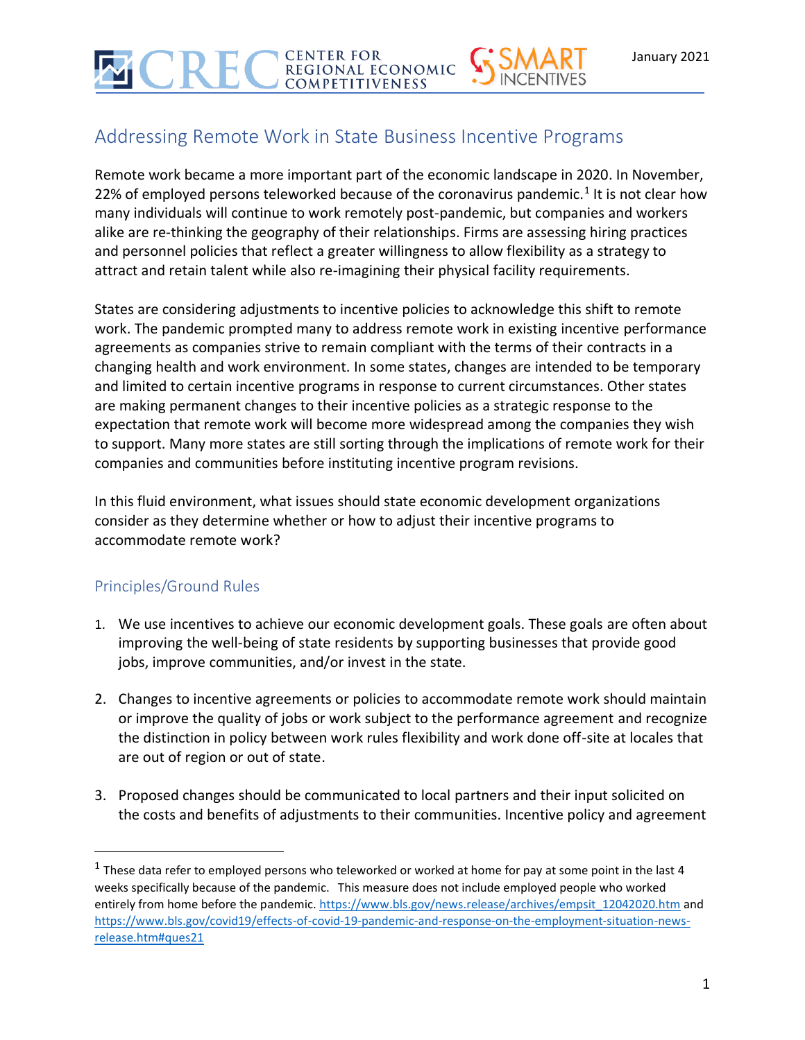# Addressing Remote Work in State Business Incentive Programs

REGIONAL ECONOMIC **COMPETITIVENESS** 

**CENTER FOR** 

Remote work became a more important part of the economic landscape in 2020. In November, 22% of employed persons teleworked because of the coronavirus pandemic.<sup>1</sup> It is not clear how many individuals will continue to work remotely post-pandemic, but companies and workers alike are re-thinking the geography of their relationships. Firms are assessing hiring practices and personnel policies that reflect a greater willingness to allow flexibility as a strategy to attract and retain talent while also re-imagining their physical facility requirements.

States are considering adjustments to incentive policies to acknowledge this shift to remote work. The pandemic prompted many to address remote work in existing incentive performance agreements as companies strive to remain compliant with the terms of their contracts in a changing health and work environment. In some states, changes are intended to be temporary and limited to certain incentive programs in response to current circumstances. Other states are making permanent changes to their incentive policies as a strategic response to the expectation that remote work will become more widespread among the companies they wish to support. Many more states are still sorting through the implications of remote work for their companies and communities before instituting incentive program revisions.

In this fluid environment, what issues should state economic development organizations consider as they determine whether or how to adjust their incentive programs to accommodate remote work?

## Principles/Ground Rules

- 1. We use incentives to achieve our economic development goals. These goals are often about improving the well-being of state residents by supporting businesses that provide good jobs, improve communities, and/or invest in the state.
- 2. Changes to incentive agreements or policies to accommodate remote work should maintain or improve the quality of jobs or work subject to the performance agreement and recognize the distinction in policy between work rules flexibility and work done off-site at locales that are out of region or out of state.
- 3. Proposed changes should be communicated to local partners and their input solicited on the costs and benefits of adjustments to their communities. Incentive policy and agreement

<sup>&</sup>lt;sup>1</sup> These data refer to employed persons who teleworked or worked at home for pay at some point in the last 4 weeks specifically because of the pandemic. This measure does not include employed people who worked entirely from home before the pandemic. [https://www.bls.gov/news.release/archives/empsit\\_12042020.htm](https://www.bls.gov/news.release/archives/empsit_12042020.htm) and [https://www.bls.gov/covid19/effects-of-covid-19-pandemic-and-response-on-the-employment-situation-news](https://www.bls.gov/covid19/effects-of-covid-19-pandemic-and-response-on-the-employment-situation-news-release.htm#ques21)[release.htm#ques21](https://www.bls.gov/covid19/effects-of-covid-19-pandemic-and-response-on-the-employment-situation-news-release.htm#ques21)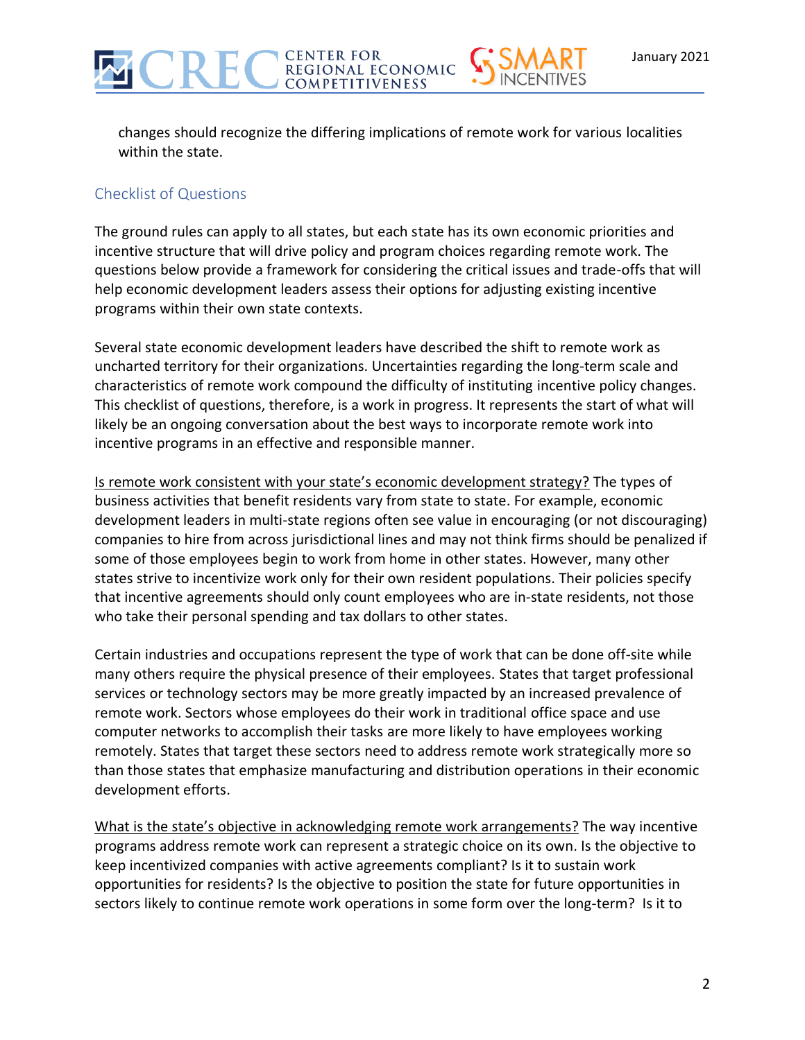changes should recognize the differing implications of remote work for various localities within the state.

**CENTER FOR<br>REGIONAL ECONOMIC COMPETITIVENESS** 

#### Checklist of Questions

The ground rules can apply to all states, but each state has its own economic priorities and incentive structure that will drive policy and program choices regarding remote work. The questions below provide a framework for considering the critical issues and trade-offs that will help economic development leaders assess their options for adjusting existing incentive programs within their own state contexts.

Several state economic development leaders have described the shift to remote work as uncharted territory for their organizations. Uncertainties regarding the long-term scale and characteristics of remote work compound the difficulty of instituting incentive policy changes. This checklist of questions, therefore, is a work in progress. It represents the start of what will likely be an ongoing conversation about the best ways to incorporate remote work into incentive programs in an effective and responsible manner.

Is remote work consistent with your state's economic development strategy? The types of business activities that benefit residents vary from state to state. For example, economic development leaders in multi-state regions often see value in encouraging (or not discouraging) companies to hire from across jurisdictional lines and may not think firms should be penalized if some of those employees begin to work from home in other states. However, many other states strive to incentivize work only for their own resident populations. Their policies specify that incentive agreements should only count employees who are in-state residents, not those who take their personal spending and tax dollars to other states.

Certain industries and occupations represent the type of work that can be done off-site while many others require the physical presence of their employees. States that target professional services or technology sectors may be more greatly impacted by an increased prevalence of remote work. Sectors whose employees do their work in traditional office space and use computer networks to accomplish their tasks are more likely to have employees working remotely. States that target these sectors need to address remote work strategically more so than those states that emphasize manufacturing and distribution operations in their economic development efforts.

What is the state's objective in acknowledging remote work arrangements? The way incentive programs address remote work can represent a strategic choice on its own. Is the objective to keep incentivized companies with active agreements compliant? Is it to sustain work opportunities for residents? Is the objective to position the state for future opportunities in sectors likely to continue remote work operations in some form over the long-term? Is it to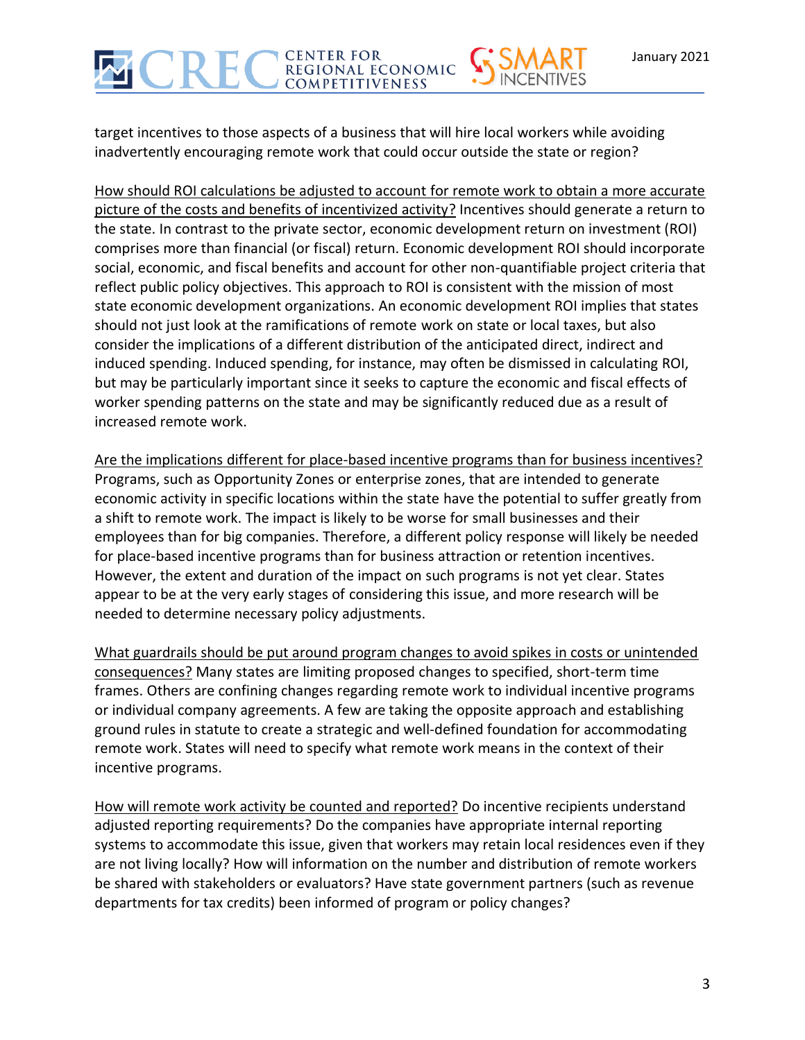target incentives to those aspects of a business that will hire local workers while avoiding inadvertently encouraging remote work that could occur outside the state or region?

How should ROI calculations be adjusted to account for remote work to obtain a more accurate picture of the costs and benefits of incentivized activity? Incentives should generate a return to the state. In contrast to the private sector, economic development return on investment (ROI) comprises more than financial (or fiscal) return. Economic development ROI should incorporate social, economic, and fiscal benefits and account for other non-quantifiable project criteria that reflect public policy objectives. This approach to ROI is consistent with the mission of most state economic development organizations. An economic development ROI implies that states should not just look at the ramifications of remote work on state or local taxes, but also consider the implications of a different distribution of the anticipated direct, indirect and induced spending. Induced spending, for instance, may often be dismissed in calculating ROI, but may be particularly important since it seeks to capture the economic and fiscal effects of worker spending patterns on the state and may be significantly reduced due as a result of increased remote work.

Are the implications different for place-based incentive programs than for business incentives? Programs, such as Opportunity Zones or enterprise zones, that are intended to generate economic activity in specific locations within the state have the potential to suffer greatly from a shift to remote work. The impact is likely to be worse for small businesses and their employees than for big companies. Therefore, a different policy response will likely be needed for place-based incentive programs than for business attraction or retention incentives. However, the extent and duration of the impact on such programs is not yet clear. States appear to be at the very early stages of considering this issue, and more research will be needed to determine necessary policy adjustments.

What guardrails should be put around program changes to avoid spikes in costs or unintended consequences? Many states are limiting proposed changes to specified, short-term time frames. Others are confining changes regarding remote work to individual incentive programs or individual company agreements. A few are taking the opposite approach and establishing ground rules in statute to create a strategic and well-defined foundation for accommodating remote work. States will need to specify what remote work means in the context of their incentive programs.

How will remote work activity be counted and reported? Do incentive recipients understand adjusted reporting requirements? Do the companies have appropriate internal reporting systems to accommodate this issue, given that workers may retain local residences even if they are not living locally? How will information on the number and distribution of remote workers be shared with stakeholders or evaluators? Have state government partners (such as revenue departments for tax credits) been informed of program or policy changes?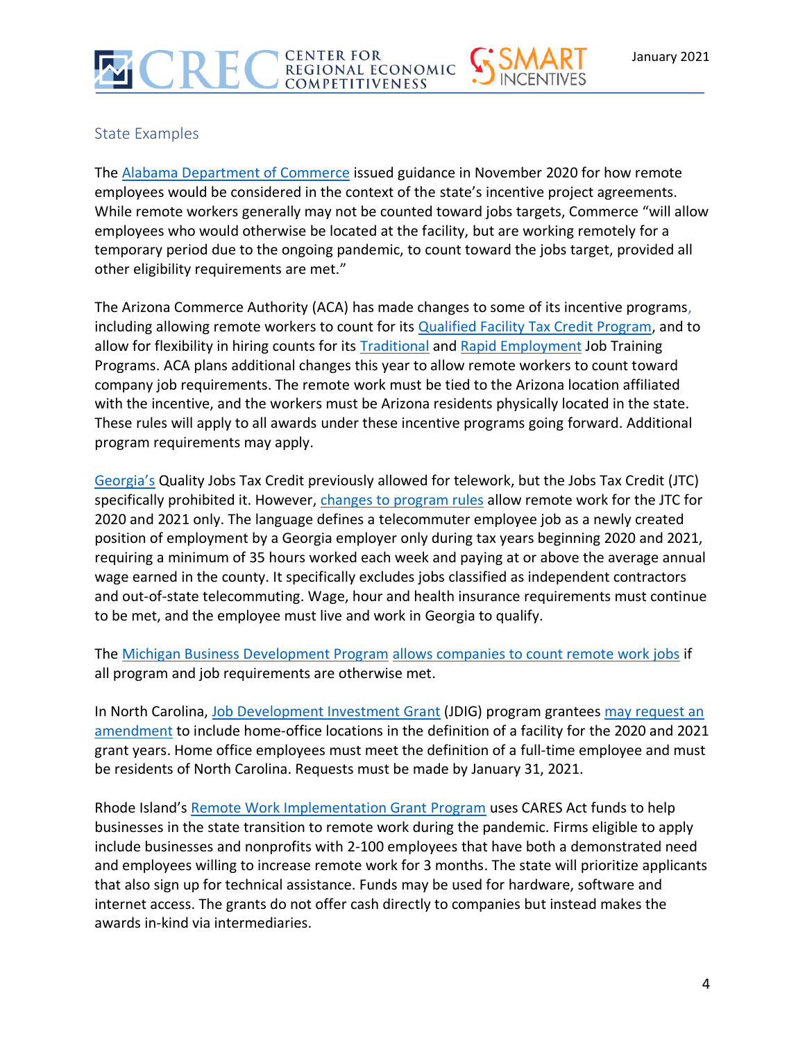## State Examples

The [Alabama Department of Commerce](https://www.madeinalabama.com/) issued guidance in November 2020 for how remote employees would be considered in the context of the state's incentive project agreements. While remote workers generally may not be counted toward jobs targets, Commerce "will allow employees who would otherwise be located at the facility, but are working remotely for a temporary period due to the ongoing pandemic, to count toward the jobs target, provided all other eligibility requirements are met."

The Arizona Commerce Authority (ACA) has made changes to some of its incentive programs, including allowing remote workers to count for its [Qualified Facility Tax Credit Program,](https://www.azcommerce.com/incentives/qualified-facility) and to allow for flexibility in hiring counts for its **[Traditional](https://www.azcommerce.com/incentives/job-training)** and **[Rapid Employment](https://www.azcommerce.com/incentives/rapid-employment-job-training-grant/)** Job Training Programs. ACA plans additional changes this year to allow remote workers to count toward company job requirements. The remote work must be tied to the Arizona location affiliated with the incentive, and the workers must be Arizona residents physically located in the state. These rules will apply to all awards under these incentive programs going forward. Additional program requirements may apply.

[Georgia](https://www.georgia.org/competitive-advantages/incentives)'s Quality Jobs Tax Credit previously allowed for telework, but the Jobs Tax Credit (JTC) specifically prohibited it. However, changes to [program rules](http://rules.sos.state.ga.us/gac/110-9-1?urlRedirected=yes&data=admin&lookingfor=110-9-1) allow remote work for the JTC for 2020 and 2021 only. The language defines a telecommuter employee job as a newly created position of employment by a Georgia employer only during tax years beginning 2020 and 2021, requiring a minimum of 35 hours worked each week and paying at or above the average annual wage earned in the county. It specifically excludes jobs classified as independent contractors and out-of-state telecommuting. Wage, hour and health insurance requirements must continue to be met, and the employee must live and work in Georgia to qualify.

The [Michigan Business Development Program](https://www.michiganbusiness.org/4aef89/globalassets/documents/reports/fact-sheets/michiganbusinessdevelopmentprogram.pdf) [allows companies to count remote work jobs](https://www.areadevelopment.com/workplace-trends/Q4-2020/expanded-incentives-support-growth-in-remote-work.shtml) if all program and job requirements are otherwise met.

In North Carolina, [Job Development Investment](https://www.nccommerce.com/grants-incentives/competitive-incentives) Grant (JDIG) program grantees may request an [amendment](https://www.nccommerce.com/documents/compliance-relief-holders-job-development-investment-grants-jdigs) to include home-office locations in the definition of a facility for the 2020 and 2021 grant years. Home office employees must meet the definition of a full-time employee and must be residents of North Carolina. Requests must be made by January 31, 2021.

Rhode Island's [Remote Work Implementation Grant Program](https://commerceri.com/tech-support-covid-19-1/) uses CARES Act funds to help businesses in the state transition to remote work during the pandemic. Firms eligible to apply include businesses and nonprofits with 2-100 employees that have both a demonstrated need and employees willing to increase remote work for 3 months. The state will prioritize applicants that also sign up for technical assistance. Funds may be used for hardware, software and internet access. The grants do not offer cash directly to companies but instead makes the awards in-kind via intermediaries.